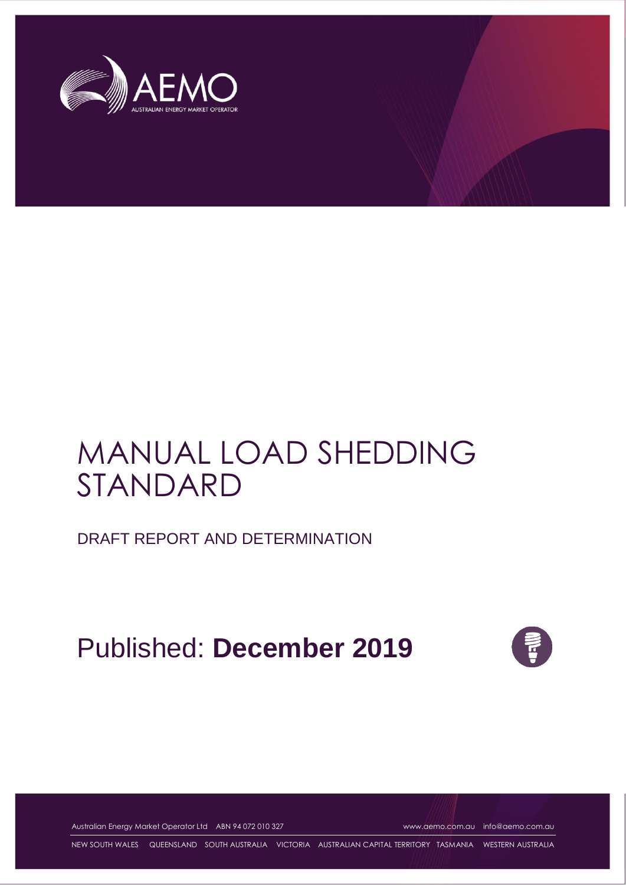

# MANUAL LOAD SHEDDING STANDARD

DRAFT REPORT AND DETERMINATION

Published: **December 2019**



Australian Energy Market Operator Ltd ABN 94 072 010 327 [www.aemo.com.au](http://www.aemo.com.au/) [info@aemo.com.au](mailto:info@aemo.com.au)

NEW SOUTH WALES QUEENSLAND SOUTH AUSTRALIA VICTORIA AUSTRALIAN CAPITAL TERRITORY TASMANIA WESTERN AUSTRALIA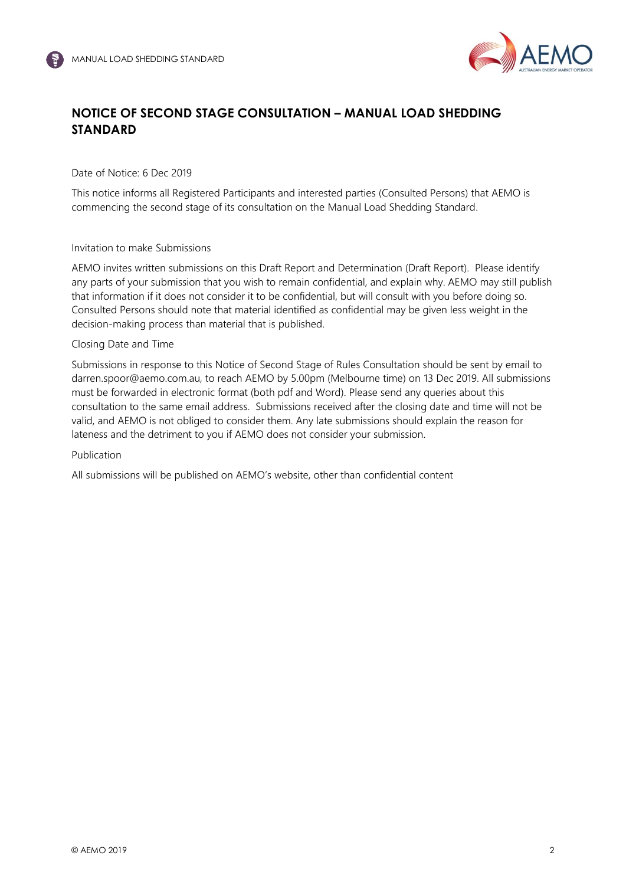

# **NOTICE OF SECOND STAGE CONSULTATION – MANUAL LOAD SHEDDING STANDARD**

Date of Notice: 6 Dec 2019

This notice informs all Registered Participants and interested parties (Consulted Persons) that AEMO is commencing the second stage of its consultation on the Manual Load Shedding Standard.

#### Invitation to make Submissions

AEMO invites written submissions on this Draft Report and Determination (Draft Report). Please identify any parts of your submission that you wish to remain confidential, and explain why. AEMO may still publish that information if it does not consider it to be confidential, but will consult with you before doing so. Consulted Persons should note that material identified as confidential may be given less weight in the decision-making process than material that is published.

#### Closing Date and Time

Submissions in response to this Notice of Second Stage of Rules Consultation should be sent by email to darren.spoor@aemo.com.au, to reach AEMO by 5.00pm (Melbourne time) on 13 Dec 2019. All submissions must be forwarded in electronic format (both pdf and Word). Please send any queries about this consultation to the same email address. Submissions received after the closing date and time will not be valid, and AEMO is not obliged to consider them. Any late submissions should explain the reason for lateness and the detriment to you if AEMO does not consider your submission.

#### Publication

All submissions will be published on AEMO's website, other than confidential content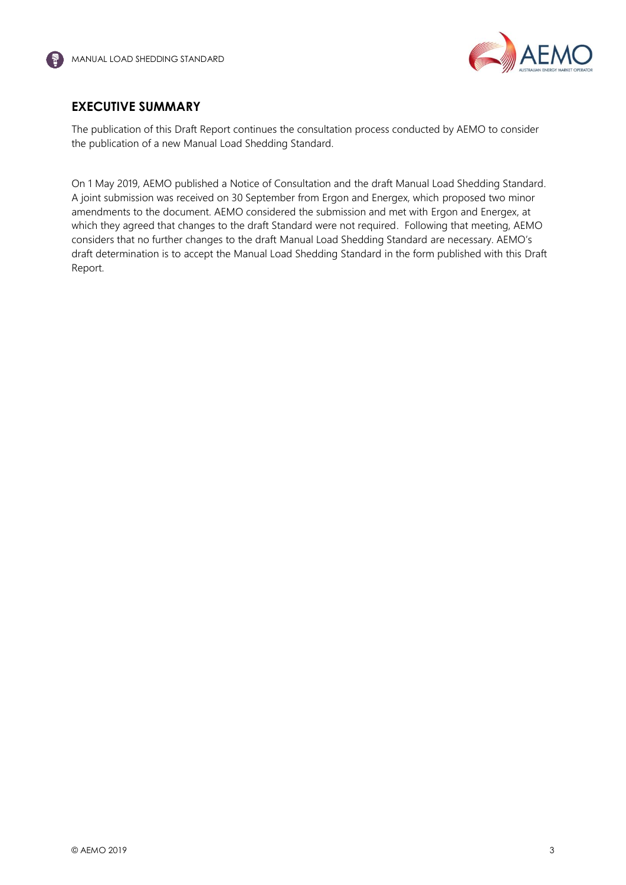

## <span id="page-2-0"></span>**EXECUTIVE SUMMARY**

The publication of this Draft Report continues the consultation process conducted by AEMO to consider the publication of a new Manual Load Shedding Standard.

On 1 May 2019, AEMO published a Notice of Consultation and the draft Manual Load Shedding Standard. A joint submission was received on 30 September from Ergon and Energex, which proposed two minor amendments to the document. AEMO considered the submission and met with Ergon and Energex, at which they agreed that changes to the draft Standard were not required. Following that meeting, AEMO considers that no further changes to the draft Manual Load Shedding Standard are necessary. AEMO's draft determination is to accept the Manual Load Shedding Standard in the form published with this Draft Report.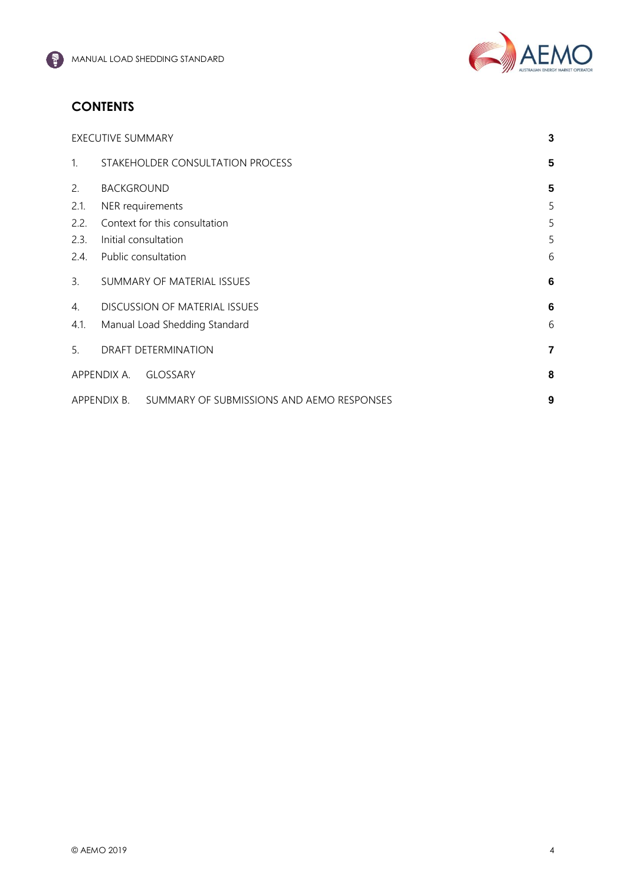

# **CONTENTS**

|              | <b>EXECUTIVE SUMMARY</b>           |                                           |                |
|--------------|------------------------------------|-------------------------------------------|----------------|
| $\mathbf{1}$ |                                    | STAKEHOLDER CONSULTATION PROCESS          | 5              |
| 2.           | <b>BACKGROUND</b>                  |                                           |                |
| 2.1.         | NER requirements                   |                                           | 5              |
| 2.2.         | Context for this consultation      |                                           | 5              |
| 2.3.         | Initial consultation               |                                           | 5              |
| 2.4.         | 6<br>Public consultation           |                                           |                |
| 3.           | SUMMARY OF MATERIAL ISSUES<br>6    |                                           |                |
| 4.           | DISCUSSION OF MATERIAL ISSUES<br>6 |                                           |                |
| 4.1.         | Manual Load Shedding Standard<br>6 |                                           |                |
| 5.           | DRAFT DETERMINATION                |                                           | $\overline{7}$ |
|              | APPENDIX A.                        | <b>GLOSSARY</b>                           | 8              |
| APPENDIX B.  |                                    | SUMMARY OF SUBMISSIONS AND AEMO RESPONSES | 9              |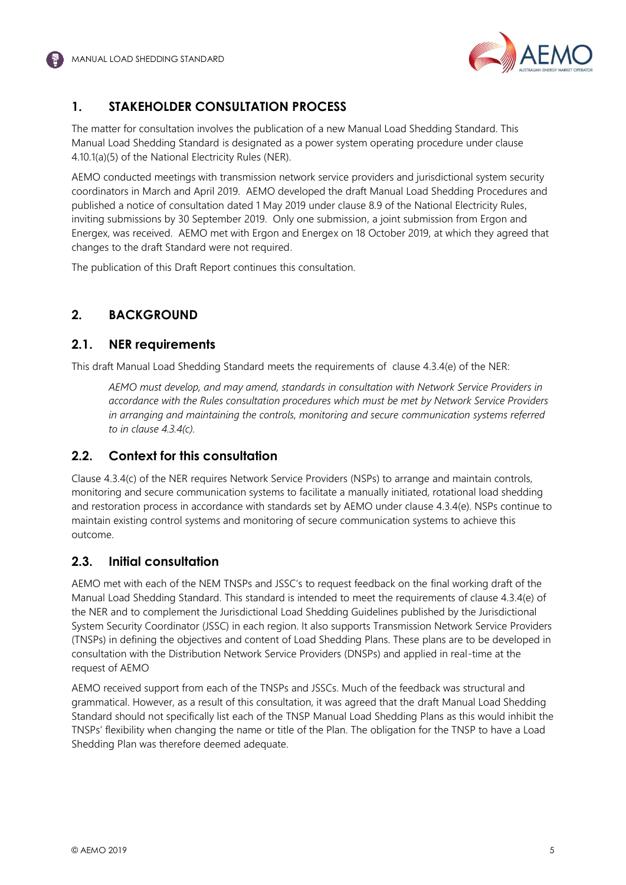

# <span id="page-4-0"></span>**1. STAKEHOLDER CONSULTATION PROCESS**

The matter for consultation involves the publication of a new Manual Load Shedding Standard. This Manual Load Shedding Standard is designated as a power system operating procedure under clause 4.10.1(a)(5) of the National Electricity Rules (NER).

AEMO conducted meetings with transmission network service providers and jurisdictional system security coordinators in March and April 2019. AEMO developed the draft Manual Load Shedding Procedures and published a notice of consultation dated 1 May 2019 under clause 8.9 of the National Electricity Rules, inviting submissions by 30 September 2019. Only one submission, a joint submission from Ergon and Energex, was received. AEMO met with Ergon and Energex on 18 October 2019, at which they agreed that changes to the draft Standard were not required.

The publication of this Draft Report continues this consultation.

## <span id="page-4-1"></span>**2. BACKGROUND**

#### <span id="page-4-2"></span>**2.1. NER requirements**

This draft Manual Load Shedding Standard meets the requirements of clause 4.3.4(e) of the NER:

*AEMO must develop, and may amend, standards in consultation with Network Service Providers in accordance with the Rules consultation procedures which must be met by Network Service Providers in arranging and maintaining the controls, monitoring and secure communication systems referred to in clause 4.3.4(c).* 

### <span id="page-4-3"></span>**2.2. Context for this consultation**

Clause 4.3.4(c) of the NER requires Network Service Providers (NSPs) to arrange and maintain controls, monitoring and secure communication systems to facilitate a manually initiated, rotational load shedding and restoration process in accordance with standards set by AEMO under clause 4.3.4(e). NSPs continue to maintain existing control systems and monitoring of secure communication systems to achieve this outcome.

#### <span id="page-4-4"></span>**2.3. Initial consultation**

AEMO met with each of the NEM TNSPs and JSSC's to request feedback on the final working draft of the Manual Load Shedding Standard. This standard is intended to meet the requirements of clause 4.3.4(e) of the NER and to complement the Jurisdictional Load Shedding Guidelines published by the Jurisdictional System Security Coordinator (JSSC) in each region. It also supports Transmission Network Service Providers (TNSPs) in defining the objectives and content of Load Shedding Plans. These plans are to be developed in consultation with the Distribution Network Service Providers (DNSPs) and applied in real-time at the request of AEMO

AEMO received support from each of the TNSPs and JSSCs. Much of the feedback was structural and grammatical. However, as a result of this consultation, it was agreed that the draft Manual Load Shedding Standard should not specifically list each of the TNSP Manual Load Shedding Plans as this would inhibit the TNSPs' flexibility when changing the name or title of the Plan. The obligation for the TNSP to have a Load Shedding Plan was therefore deemed adequate.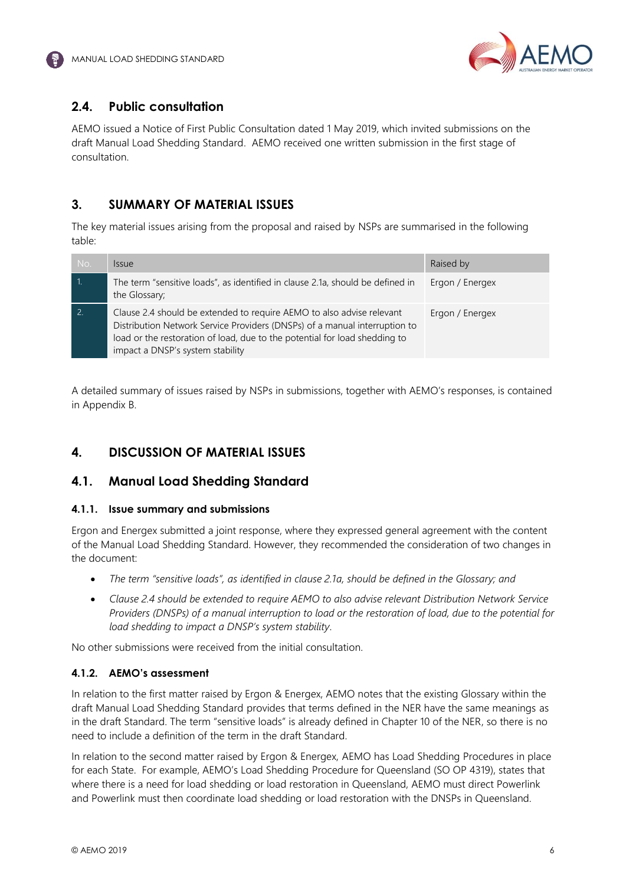

## <span id="page-5-0"></span>**2.4. Public consultation**

AEMO issued a Notice of First Public Consultation dated 1 May 2019, which invited submissions on the draft Manual Load Shedding Standard. AEMO received one written submission in the first stage of consultation.

## <span id="page-5-1"></span>**3. SUMMARY OF MATERIAL ISSUES**

The key material issues arising from the proposal and raised by NSPs are summarised in the following table:

| No.            | <i><u><b>Issue</b></u></i>                                                                                                                                                                                                                                            | Raised by       |
|----------------|-----------------------------------------------------------------------------------------------------------------------------------------------------------------------------------------------------------------------------------------------------------------------|-----------------|
|                | The term "sensitive loads", as identified in clause 2.1a, should be defined in<br>the Glossary;                                                                                                                                                                       | Ergon / Energex |
| $\overline{2}$ | Clause 2.4 should be extended to require AEMO to also advise relevant<br>Distribution Network Service Providers (DNSPs) of a manual interruption to<br>load or the restoration of load, due to the potential for load shedding to<br>impact a DNSP's system stability | Ergon / Energex |

A detailed summary of issues raised by NSPs in submissions, together with AEMO's responses, is contained in Appendix B.

# <span id="page-5-2"></span>**4. DISCUSSION OF MATERIAL ISSUES**

### <span id="page-5-3"></span>**4.1. Manual Load Shedding Standard**

#### **4.1.1. Issue summary and submissions**

Ergon and Energex submitted a joint response, where they expressed general agreement with the content of the Manual Load Shedding Standard. However, they recommended the consideration of two changes in the document:

- *The term "sensitive loads", as identified in clause 2.1a, should be defined in the Glossary; and*
- *Clause 2.4 should be extended to require AEMO to also advise relevant Distribution Network Service Providers (DNSPs) of a manual interruption to load or the restoration of load, due to the potential for load shedding to impact a DNSP's system stability*.

No other submissions were received from the initial consultation.

#### **4.1.2. AEMO's assessment**

In relation to the first matter raised by Ergon & Energex, AEMO notes that the existing Glossary within the draft Manual Load Shedding Standard provides that terms defined in the NER have the same meanings as in the draft Standard. The term "sensitive loads" is already defined in Chapter 10 of the NER, so there is no need to include a definition of the term in the draft Standard.

In relation to the second matter raised by Ergon & Energex, AEMO has Load Shedding Procedures in place for each State. For example, AEMO's Load Shedding Procedure for Queensland (SO OP 4319), states that where there is a need for load shedding or load restoration in Queensland, AEMO must direct Powerlink and Powerlink must then coordinate load shedding or load restoration with the DNSPs in Queensland.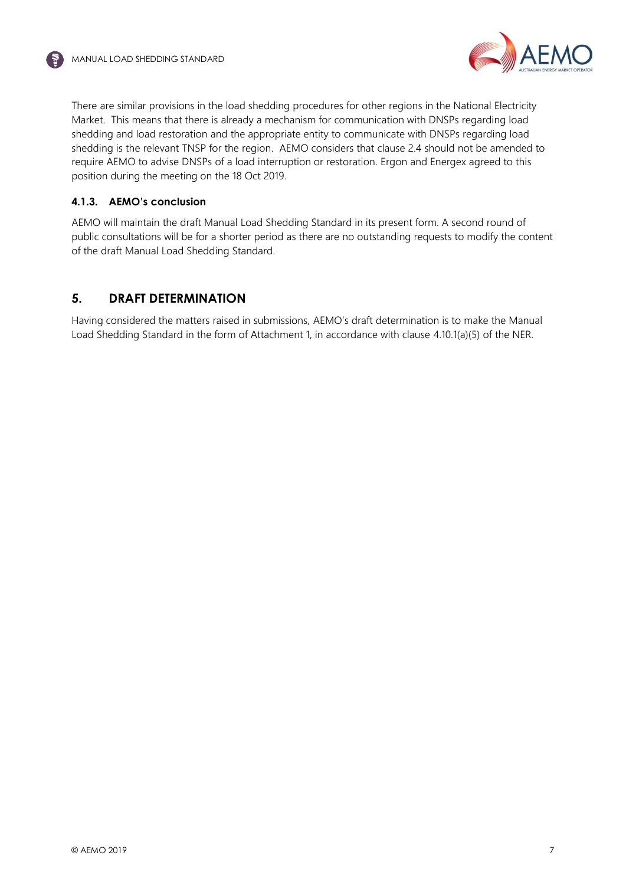

There are similar provisions in the load shedding procedures for other regions in the National Electricity Market. This means that there is already a mechanism for communication with DNSPs regarding load shedding and load restoration and the appropriate entity to communicate with DNSPs regarding load shedding is the relevant TNSP for the region. AEMO considers that clause 2.4 should not be amended to require AEMO to advise DNSPs of a load interruption or restoration. Ergon and Energex agreed to this position during the meeting on the 18 Oct 2019.

## **4.1.3. AEMO's conclusion**

AEMO will maintain the draft Manual Load Shedding Standard in its present form. A second round of public consultations will be for a shorter period as there are no outstanding requests to modify the content of the draft Manual Load Shedding Standard.

## <span id="page-6-0"></span>**5. DRAFT DETERMINATION**

Having considered the matters raised in submissions, AEMO's draft determination is to make the Manual Load Shedding Standard in the form of Attachment 1, in accordance with clause 4.10.1(a)(5) of the NER.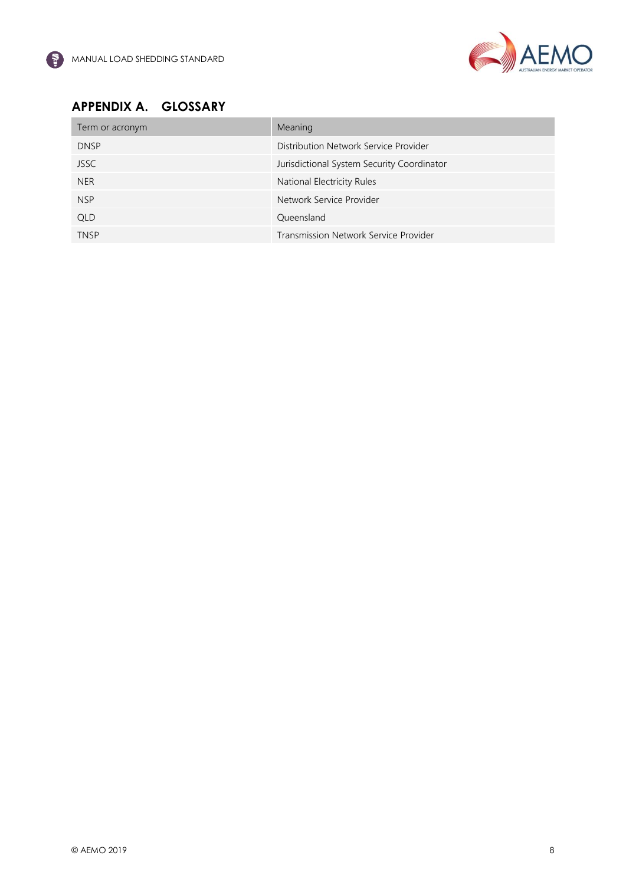

# <span id="page-7-0"></span>**APPENDIX A. GLOSSARY**

| Term or acronym | Meaning                                    |
|-----------------|--------------------------------------------|
| <b>DNSP</b>     | Distribution Network Service Provider      |
| <b>JSSC</b>     | Jurisdictional System Security Coordinator |
| <b>NER</b>      | National Electricity Rules                 |
| <b>NSP</b>      | Network Service Provider                   |
| <b>QLD</b>      | Queensland                                 |
| <b>TNSP</b>     | Transmission Network Service Provider      |